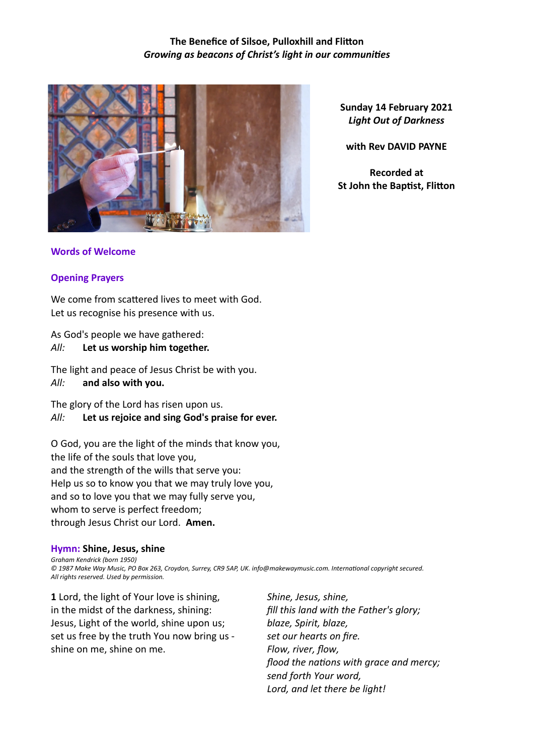# **The Benefice of Silsoe, Pulloxhill and Flitton** *Growing as beacons of Christ's light in our communities*



**Sunday 14 February 2021** *Light Out of Darkness*

**with Rev DAVID PAYNE**

**Recorded at St John the Baptist, Flitton**

# **Words of Welcome**

#### **Opening Prayers**

We come from scattered lives to meet with God. Let us recognise his presence with us.

As God's people we have gathered: *All:* **Let us worship him together.**

The light and peace of Jesus Christ be with you. *All:* **and also with you.**

The glory of the Lord has risen upon us. *All:* **Let us rejoice and sing God's praise for ever.**

O God, you are the light of the minds that know you, the life of the souls that love you, and the strength of the wills that serve you: Help us so to know you that we may truly love you, and so to love you that we may fully serve you, whom to serve is perfect freedom; through Jesus Christ our Lord. **Amen.**

#### **Hymn: Shine, Jesus, shine**

*Graham Kendrick (born 1950) © 1987 Make Way Music, PO Box 263, Croydon, Surrey, CR9 5AP, UK. info@makewaymusic.com. International copyright secured. All rights reserved. Used by permission.*

**1** Lord, the light of Your love is shining, in the midst of the darkness, shining: Jesus, Light of the world, shine upon us; set us free by the truth You now bring us shine on me, shine on me.

*Shine, Jesus, shine, fill this land with the Father's glory; blaze, Spirit, blaze, set our hearts on fire. Flow, river, flow, flood the nations with grace and mercy; send forth Your word, Lord, and let there be light!*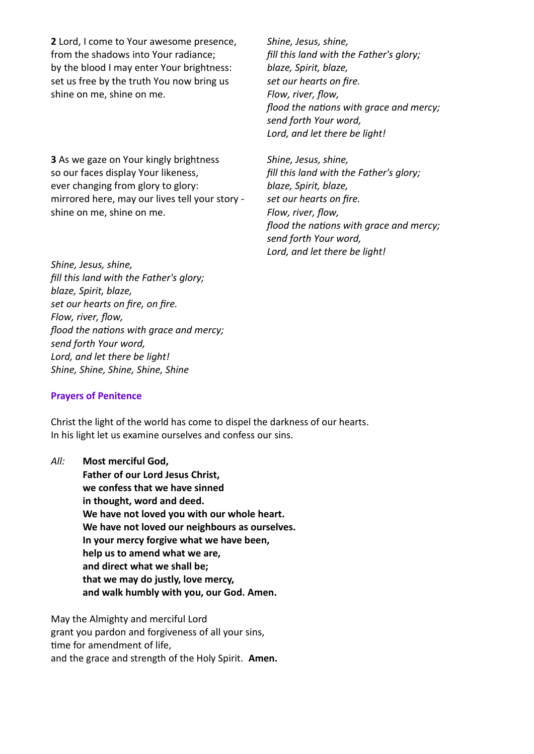**2** Lord, I come to Your awesome presence, from the shadows into Your radiance; by the blood I may enter Your brightness: set us free by the truth You now bring us shine on me, shine on me.

**3** As we gaze on Your kingly brightness so our faces display Your likeness, ever changing from glory to glory: mirrored here, may our lives tell your story shine on me, shine on me.

*Shine, Jesus, shine, fill this land with the Father's glory; blaze, Spirit, blaze, set our hearts on fire, on fire. Flow, river, flow, flood the nations with grace and mercy; send forth Your word, Lord, and let there be light! Shine, Shine, Shine, Shine, Shine*

#### **Prayers of Penitence**

Christ the light of the world has come to dispel the darkness of our hearts. In his light let us examine ourselves and confess our sins.

*All:* **Most merciful God, Father of our Lord Jesus Christ, we confess that we have sinned in thought, word and deed. We have not loved you with our whole heart. We have not loved our neighbours as ourselves. In your mercy forgive what we have been, help us to amend what we are, and direct what we shall be; that we may do justly, love mercy, and walk humbly with you, our God. Amen.**

May the Almighty and merciful Lord grant you pardon and forgiveness of all your sins, time for amendment of life, and the grace and strength of the Holy Spirit. **Amen.**

*Shine, Jesus, shine, fill this land with the Father's glory; blaze, Spirit, blaze, set our hearts on fire. Flow, river, flow, flood the nations with grace and mercy; send forth Your word, Lord, and let there be light!* 

*Shine, Jesus, shine, fill this land with the Father's glory; blaze, Spirit, blaze, set our hearts on fire. Flow, river, flow, flood the nations with grace and mercy; send forth Your word, Lord, and let there be light!*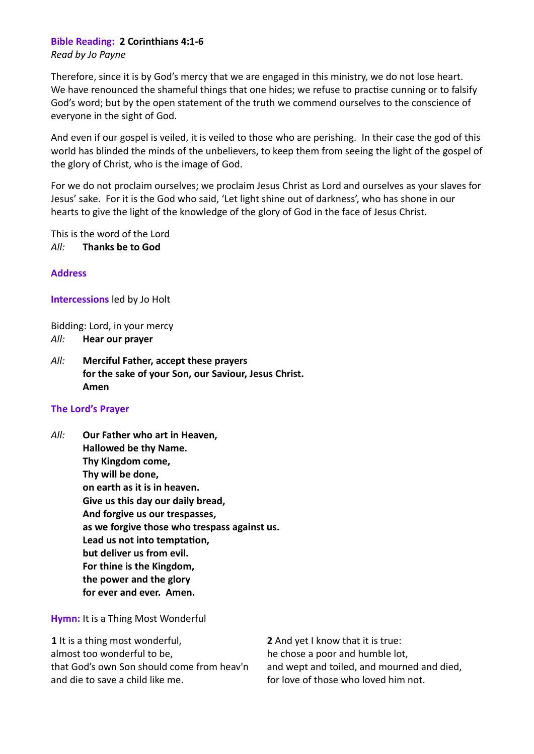# **Bible Reading: 2 Corinthians 4:1-6**

#### *Read by Jo Payne*

Therefore, since it is by God's mercy that we are engaged in this ministry, we do not lose heart. We have renounced the shameful things that one hides; we refuse to practise cunning or to falsify God's word; but by the open statement of the truth we commend ourselves to the conscience of everyone in the sight of God.

And even if our gospel is veiled, it is veiled to those who are perishing.In their case the god of this world has blinded the minds of the unbelievers, to keep them from seeing the light of the gospel of the glory of Christ, who is the image of God.

For we do not proclaim ourselves; we proclaim Jesus Christ as Lord and ourselves as your slaves for Jesus' sake.For it is the God who said, 'Let light shine out of darkness', who has shone in our hearts to give the light of the knowledge of the glory of God in the face of Jesus Christ.

This is the word of the Lord *All:* **Thanks be to God**

# **Address**

**Intercessions** led by Jo Holt

Bidding: Lord, in your mercy

#### *All:* **Hear our prayer**

*All:* **Merciful Father, accept these prayers for the sake of your Son, our Saviour, Jesus Christ. Amen**

#### **The Lord's Prayer**

*All:* **Our Father who art in Heaven, Hallowed be thy Name. Thy Kingdom come, Thy will be done, on earth as it is in heaven. Give us this day our daily bread, And forgive us our trespasses, as we forgive those who trespass against us. Lead us not into temptation, but deliver us from evil. For thine is the Kingdom, the power and the glory for ever and ever. Amen.**

**Hymn:** It is a Thing Most Wonderful

**1** It is a thing most wonderful, almost too wonderful to be, that God's own Son should come from heav'n and die to save a child like me.

**2** And yet I know that it is true: he chose a poor and humble lot, and wept and toiled, and mourned and died, for love of those who loved him not.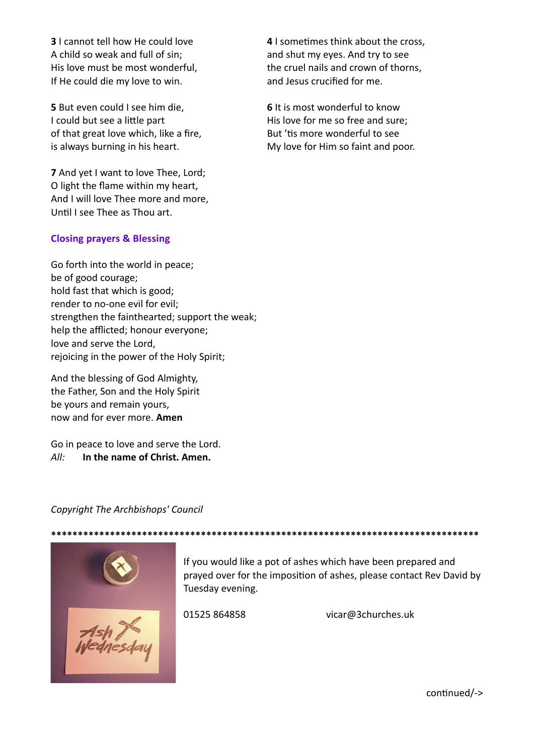**3** I cannot tell how He could love A child so weak and full of sin; His love must be most wonderful, If He could die my love to win.

**5** But even could I see him die, I could but see a little part of that great love which, like a fire, is always burning in his heart.

**7** And yet I want to love Thee, Lord; O light the flame within my heart, And I will love Thee more and more, Until I see Thee as Thou art.

#### **Closing prayers & Blessing**

Go forth into the world in peace; be of good courage; hold fast that which is good; render to no-one evil for evil; strengthen the fainthearted; support the weak; help the afflicted; honour everyone; love and serve the Lord, rejoicing in the power of the Holy Spirit;

And the blessing of God Almighty, the Father, Son and the Holy Spirit be yours and remain yours, now and for ever more. **Amen**

Go in peace to love and serve the Lord. *All:* **In the name of Christ. Amen.**

#### *Copyright The Archbishops' Council*



**4** I sometimes think about the cross, and shut my eyes. And try to see the cruel nails and crown of thorns, and Jesus crucified for me.

**6** It is most wonderful to know His love for me so free and sure; But 'tis more wonderful to see My love for Him so faint and poor.

If you would like a pot of ashes which have been prepared and prayed over for the imposition of ashes, please contact Rev David by Tuesday evening.

01525 864858 vicar@3churches.uk

continued/->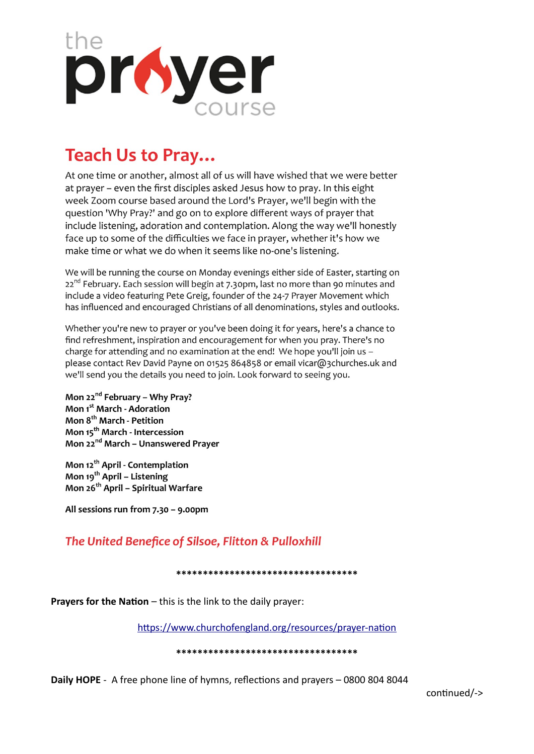

# Teach Us to Pray...

At one time or another, almost all of us will have wished that we were better at prayer - even the first disciples asked Jesus how to pray. In this eight week Zoom course based around the Lord's Prayer, we'll begin with the question 'Why Pray?' and go on to explore different ways of prayer that include listening, adoration and contemplation. Along the way we'll honestly face up to some of the difficulties we face in prayer, whether it's how we make time or what we do when it seems like no-one's listening.

We will be running the course on Monday evenings either side of Easter, starting on 22<sup>nd</sup> February. Each session will begin at 7.30pm, last no more than 90 minutes and include a video featuring Pete Greig, founder of the 24-7 Prayer Movement which has influenced and encouraged Christians of all denominations, styles and outlooks.

Whether you're new to prayer or you've been doing it for years, here's a chance to find refreshment, inspiration and encouragement for when you pray. There's no charge for attending and no examination at the end! We hope you'll join us please contact Rev David Payne on 01525 864858 or email vicar@3churches.uk and we'll send you the details you need to join. Look forward to seeing you.

Mon  $22^{nd}$  February – Why Pray? Mon 1<sup>st</sup> March - Adoration Mon 8<sup>th</sup> March - Petition Mon 15<sup>th</sup> March - Intercession Mon 22<sup>nd</sup> March - Unanswered Prayer

Mon 12<sup>th</sup> April - Contemplation Mon 19<sup>th</sup> April – Listening Mon 26<sup>th</sup> April - Spiritual Warfare

All sessions run from 7.30 - 9.00pm

# The United Benefice of Silsoe, Flitton & Pulloxhill

#### **\*\*\*\*\*\*\*\*\*\*\*\*\*\*\*\*\*\*\*\*\*\*\*\*\*\*\*\*\*\*\*\*\*\***

**Prayers for the Nation** – this is the link to the daily prayer:

<https://www.churchofengland.org/resources/prayer-nation>

**\*\*\*\*\*\*\*\*\*\*\*\*\*\*\*\*\*\*\*\*\*\*\*\*\*\*\*\*\*\*\*\*\*\***

**Daily HOPE** - A free phone line of hymns, reflections and prayers – 0800 804 8044

continued/->